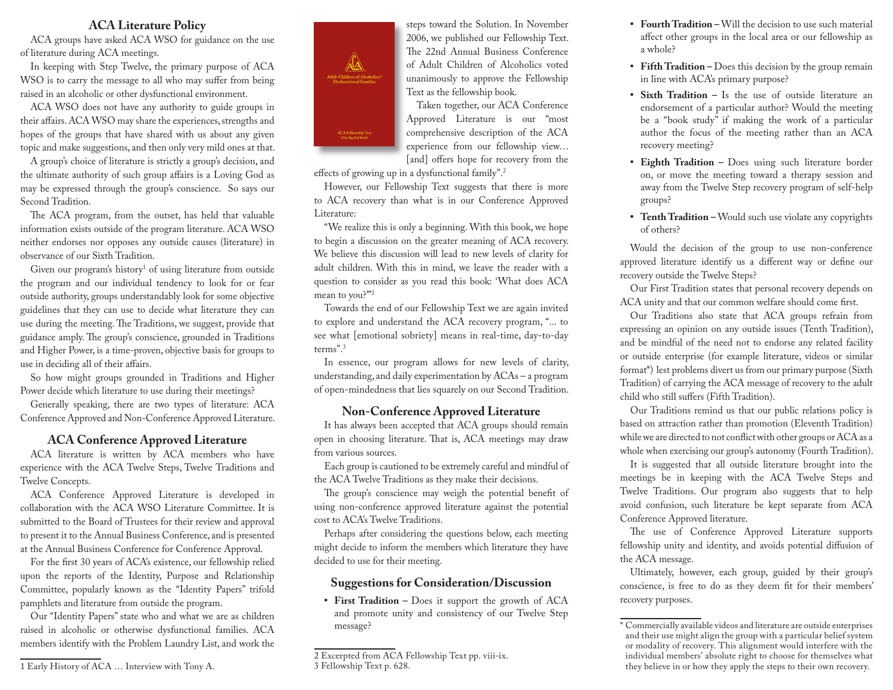#### **ACA Literature Policy**

ACA groups have asked ACA WSO for guidance on the use of literature during ACA meetings.

In keeping with Step Twelve, the primary purpose of ACA WSO is to carry the message to all who may suffer from being raised in an alcoholic or other dysfunctional environment.

ACA WSO does not have any authority to guide groups in their affairs. ACA WSO may share the experiences, strengths and hopes of the groups that have shared with us about any given topic and make suggestions, and then only very mild ones at that.

A group's choice of literature is strictly a group's decision, and the ultimate authority of such group affairs is a Loving God as may be expressed through the group's conscience. So says our Second Tradition.

The ACA program, from the outset, has held that valuable information exists outside of the program literature. ACA WSO neither endorses nor opposes any outside causes (literature) in observance of our Sixth Tradition.

Given our program's history<sup>1</sup> of using literature from outside the program and our individual tendency to look for or fear outside authority, groups understandably look for some objective guidelines that they can use to decide what literature they can use during the meeting. The Traditions, we suggest, provide that guidance amply. The group's conscience, grounded in Traditions and Higher Power, is a time-proven, objective basis for groups to use in deciding all of their affairs.

So how might groups grounded in Traditions and Higher Power decide which literature to use during their meetings?

Generally speaking, there are two types of literature: ACA Conference Approved and Non-Conference Approved Literature.

#### **ACA Conference Approved Literature**

ACA literature is written by ACA members who have experience with the ACA Twelve Steps, Twelve Traditions and Twelve Concepts.

ACA Conference Approved Literature is developed in collaboration with the ACA WSO Literature Committee. It is submitted to the Board of Trustees for their review and approval to present it to the Annual Business Conference, and is presented at the Annual Business Conference for Conference Approval.

For the first 30 years of ACA's existence, our fellowship relied upon the reports of the Identity, Purpose and Relationship Committee, popularly known as the "Identity Papers" trifold pamphlets and literature from outside the program.

Our "Identity Papers" state who and what we are as children raised in alcoholic or otherwise dysfunctional families. ACA members identify with the Problem Laundry List, and work the





steps toward the Solution. In November 2006, we published our Fellowship Text. The 22nd Annual Business Conference of Adult Children of Alcoholics voted unanimously to approve the Fellowship Text as the fellowship book.

Taken together, our ACA Conference Approved Literature is our "most comprehensive description of the ACA experience from our fellowship view… [and] offers hope for recovery from the

effects of growing up in a dysfunctional family".2

However, our Fellowship Text suggests that there is more to ACA recovery than what is in our Conference Approved Literature:

"We realize this is only a beginning. With this book, we hope to begin a discussion on the greater meaning of ACA recovery. We believe this discussion will lead to new levels of clarity for adult children. With this in mind, we leave the reader with a question to consider as you read this book: 'What does ACA mean to you?"<sup>2</sup>

Towards the end of our Fellowship Text we are again invited to explore and understand the ACA recovery program, "... to see what [emotional sobriety] means in real-time, day-to-day terms".3

In essence, our program allows for new levels of clarity, understanding, and daily experimentation by ACAs – a program of open-mindedness that lies squarely on our Second Tradition.

#### **Non-Conference Approved Literature**

It has always been accepted that ACA groups should remain open in choosing literature. That is, ACA meetings may draw from various sources.

Each group is cautioned to be extremely careful and mindful of the ACA Twelve Traditions as they make their decisions.

The group's conscience may weigh the potential benefit of using non-conference approved literature against the potential cost to ACA's Twelve Traditions.

Perhaps after considering the questions below, each meeting might decide to inform the members which literature they have decided to use for their meeting.

#### **Suggestions for Consideration/Discussion**

**• First Tradition –** Does it support the growth of ACA and promote unity and consistency of our Twelve Step message?

- **• Fourth Tradition** Will the decision to use such material affect other groups in the local area or our fellowship as a whole?
- **• Fifth Tradition** Does this decision by the group remain in line with ACA's primary purpose?
- **• Sixth Tradition** Is the use of outside literature an endorsement of a particular author? Would the meeting be a "book study" if making the work of a particular author the focus of the meeting rather than an ACA recovery meeting?
- **• Eighth Tradition** Does using such literature border on, or move the meeting toward a therapy session and away from the Twelve Step recovery program of self-help groups?
- **• Tenth Tradition** Would such use violate any copyrights of others?

Would the decision of the group to use non-conference approved literature identify us a different way or define our recovery outside the Twelve Steps?

Our First Tradition states that personal recovery depends on ACA unity and that our common welfare should come first.

Our Traditions also state that ACA groups refrain from expressing an opinion on any outside issues (Tenth Tradition), and be mindful of the need not to endorse any related facility or outside enterprise (for example literature, videos or similar format\*) lest problems divert us from our primary purpose (Sixth Tradition) of carrying the ACA message of recovery to the adult child who still suffers (Fifth Tradition).

Our Traditions remind us that our public relations policy is based on attraction rather than promotion (Eleventh Tradition) while we are directed to not conflict with other groups or ACA as a whole when exercising our group's autonomy (Fourth Tradition).

It is suggested that all outside literature brought into the meetings be in keeping with the ACA Twelve Steps and Twelve Traditions. Our program also suggests that to help avoid confusion, such literature be kept separate from ACA Conference Approved literature.

The use of Conference Approved Literature supports fellowship unity and identity, and avoids potential diffusion of the ACA message.

Ultimately, however, each group, guided by their group's conscience, is free to do as they deem fit for their members' recovery purposes.

<sup>2</sup> Excerpted from ACA Fellowship Text pp. viii-ix. 3 Fellowship Text p. 628.

<sup>\*</sup> Commercially available videos and literature are outside enterprises and their use might align the group with a particular belief system or modality of recovery. This alignment would interfere with the individual members' absolute right to choose for themselves what they believe in or how they apply the steps to their own recovery.